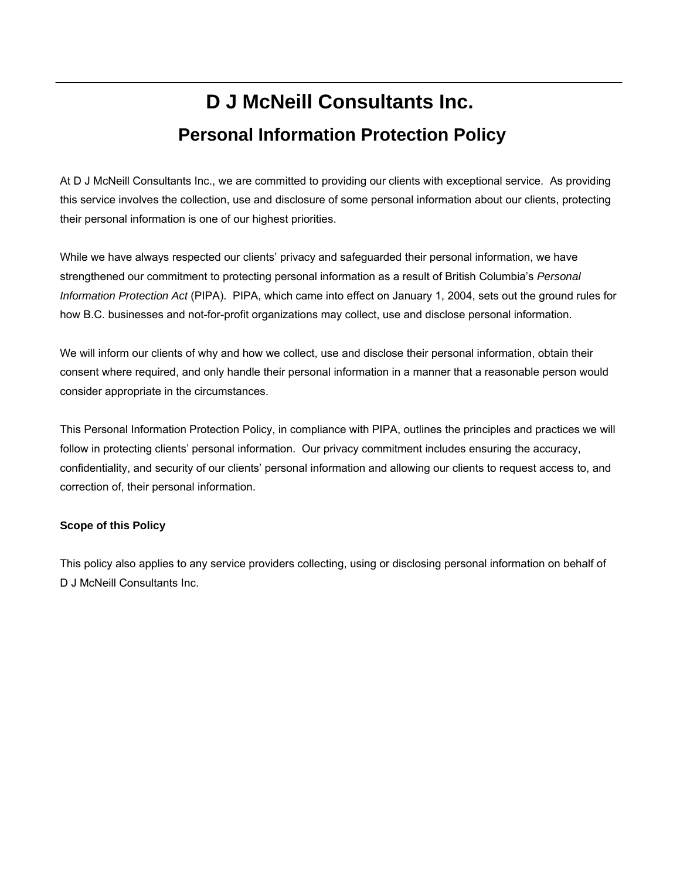# **D J McNeill Consultants Inc. Personal Information Protection Policy**

At D J McNeill Consultants Inc., we are committed to providing our clients with exceptional service. As providing this service involves the collection, use and disclosure of some personal information about our clients, protecting their personal information is one of our highest priorities.

While we have always respected our clients' privacy and safeguarded their personal information, we have strengthened our commitment to protecting personal information as a result of British Columbia's *Personal Information Protection Act* (PIPA). PIPA, which came into effect on January 1, 2004, sets out the ground rules for how B.C. businesses and not-for-profit organizations may collect, use and disclose personal information.

We will inform our clients of why and how we collect, use and disclose their personal information, obtain their consent where required, and only handle their personal information in a manner that a reasonable person would consider appropriate in the circumstances.

This Personal Information Protection Policy, in compliance with PIPA, outlines the principles and practices we will follow in protecting clients' personal information. Our privacy commitment includes ensuring the accuracy, confidentiality, and security of our clients' personal information and allowing our clients to request access to, and correction of, their personal information.

## **Scope of this Policy**

This policy also applies to any service providers collecting, using or disclosing personal information on behalf of D J McNeill Consultants Inc.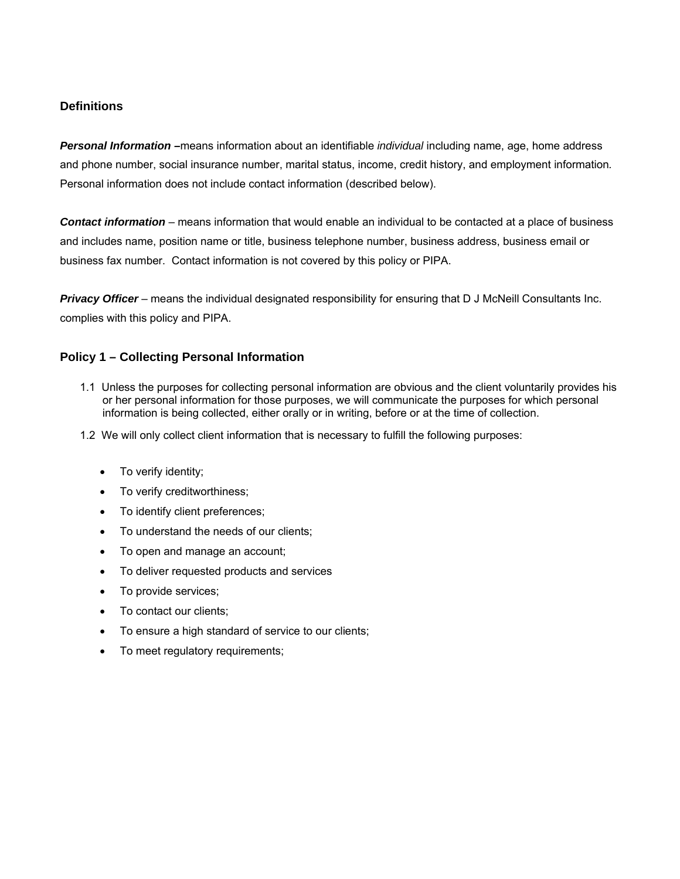## **Definitions**

*Personal Information –*means information about an identifiable *individual* including name, age, home address and phone number, social insurance number, marital status, income, credit history, and employment information*.* Personal information does not include contact information (described below).

*Contact information* – means information that would enable an individual to be contacted at a place of business and includes name, position name or title, business telephone number, business address, business email or business fax number. Contact information is not covered by this policy or PIPA.

*Privacy Officer* – means the individual designated responsibility for ensuring that D J McNeill Consultants Inc. complies with this policy and PIPA.

## **Policy 1 – Collecting Personal Information**

- 1.1 Unless the purposes for collecting personal information are obvious and the client voluntarily provides his or her personal information for those purposes, we will communicate the purposes for which personal information is being collected, either orally or in writing, before or at the time of collection.
- 1.2 We will only collect client information that is necessary to fulfill the following purposes:
	- To verify identity;
	- To verify creditworthiness;
	- To identify client preferences;
	- To understand the needs of our clients;
	- To open and manage an account;
	- To deliver requested products and services
	- To provide services;
	- To contact our clients;
	- To ensure a high standard of service to our clients;
	- To meet regulatory requirements;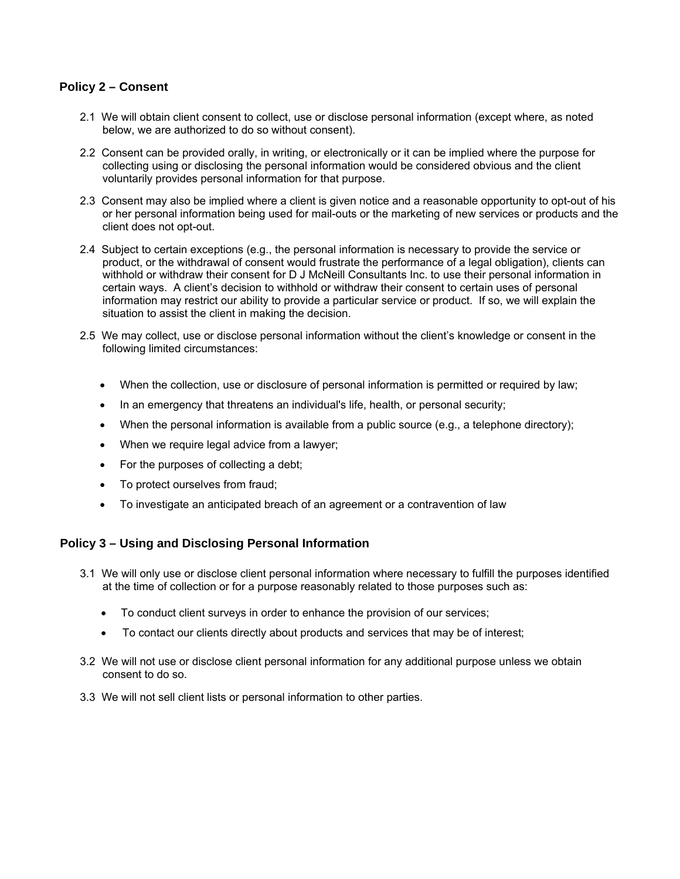### **Policy 2 – Consent**

- 2.1 We will obtain client consent to collect, use or disclose personal information (except where, as noted below, we are authorized to do so without consent).
- 2.2 Consent can be provided orally, in writing, or electronically or it can be implied where the purpose for collecting using or disclosing the personal information would be considered obvious and the client voluntarily provides personal information for that purpose.
- 2.3 Consent may also be implied where a client is given notice and a reasonable opportunity to opt-out of his or her personal information being used for mail-outs or the marketing of new services or products and the client does not opt-out.
- 2.4 Subject to certain exceptions (e.g., the personal information is necessary to provide the service or product, or the withdrawal of consent would frustrate the performance of a legal obligation), clients can withhold or withdraw their consent for D J McNeill Consultants Inc. to use their personal information in certain ways. A client's decision to withhold or withdraw their consent to certain uses of personal information may restrict our ability to provide a particular service or product. If so, we will explain the situation to assist the client in making the decision.
- 2.5 We may collect, use or disclose personal information without the client's knowledge or consent in the following limited circumstances:
	- When the collection, use or disclosure of personal information is permitted or required by law;
	- In an emergency that threatens an individual's life, health, or personal security;
	- When the personal information is available from a public source (e.g., a telephone directory);
	- When we require legal advice from a lawyer;
	- For the purposes of collecting a debt;
	- To protect ourselves from fraud;
	- To investigate an anticipated breach of an agreement or a contravention of law

## **Policy 3 – Using and Disclosing Personal Information**

- 3.1 We will only use or disclose client personal information where necessary to fulfill the purposes identified at the time of collection or for a purpose reasonably related to those purposes such as:
	- To conduct client surveys in order to enhance the provision of our services;
	- To contact our clients directly about products and services that may be of interest;
- 3.2 We will not use or disclose client personal information for any additional purpose unless we obtain consent to do so.
- 3.3 We will not sell client lists or personal information to other parties.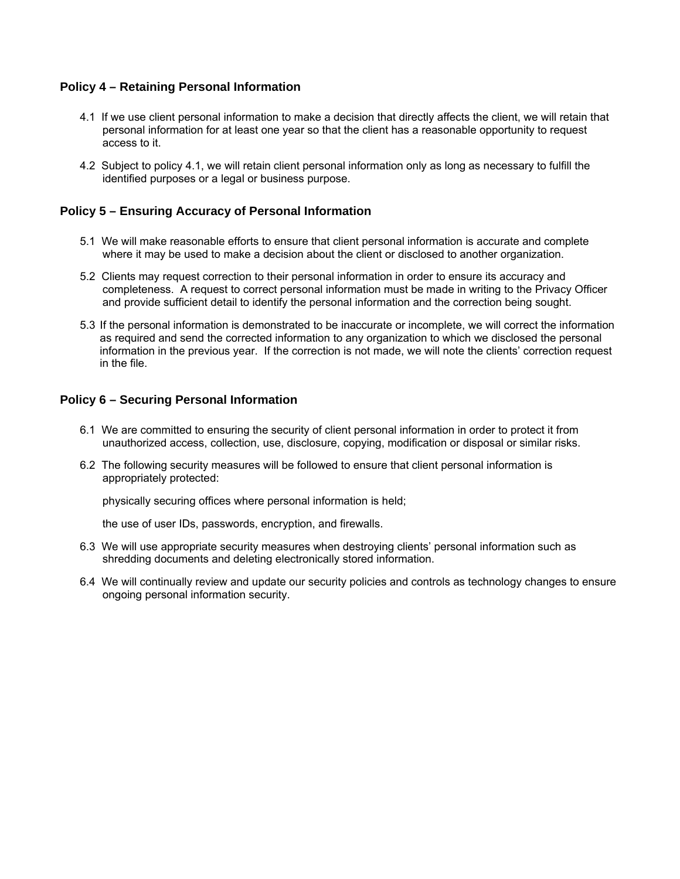### **Policy 4 – Retaining Personal Information**

- 4.1 If we use client personal information to make a decision that directly affects the client, we will retain that personal information for at least one year so that the client has a reasonable opportunity to request access to it.
- 4.2 Subject to policy 4.1, we will retain client personal information only as long as necessary to fulfill the identified purposes or a legal or business purpose.

### **Policy 5 – Ensuring Accuracy of Personal Information**

- 5.1 We will make reasonable efforts to ensure that client personal information is accurate and complete where it may be used to make a decision about the client or disclosed to another organization.
- 5.2 Clients may request correction to their personal information in order to ensure its accuracy and completeness. A request to correct personal information must be made in writing to the Privacy Officer and provide sufficient detail to identify the personal information and the correction being sought.
- 5.3 If the personal information is demonstrated to be inaccurate or incomplete, we will correct the information as required and send the corrected information to any organization to which we disclosed the personal information in the previous year. If the correction is not made, we will note the clients' correction request in the file.

#### **Policy 6 – Securing Personal Information**

- 6.1 We are committed to ensuring the security of client personal information in order to protect it from unauthorized access, collection, use, disclosure, copying, modification or disposal or similar risks.
- 6.2 The following security measures will be followed to ensure that client personal information is appropriately protected:

physically securing offices where personal information is held;

the use of user IDs, passwords, encryption, and firewalls.

- 6.3 We will use appropriate security measures when destroying clients' personal information such as shredding documents and deleting electronically stored information.
- 6.4 We will continually review and update our security policies and controls as technology changes to ensure ongoing personal information security.